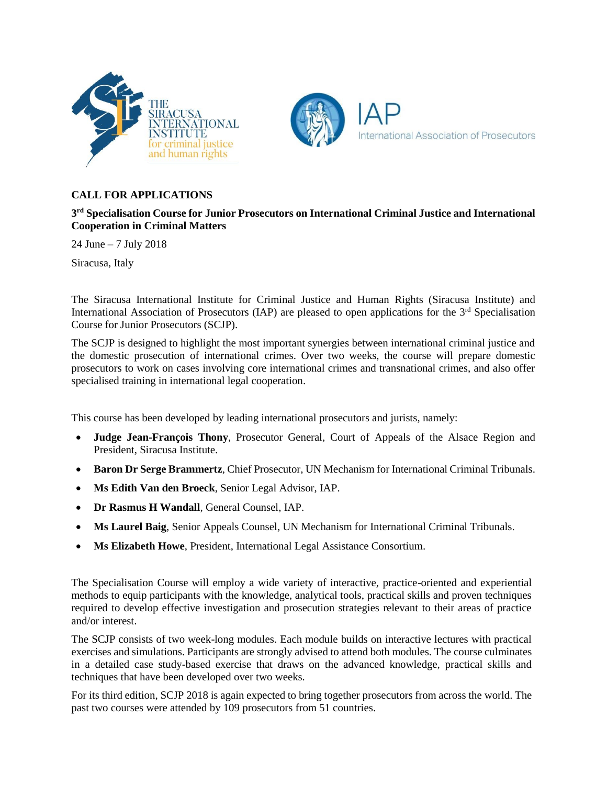



## **CALL FOR APPLICATIONS**

## **3 rd Specialisation Course for Junior Prosecutors on International Criminal Justice and International Cooperation in Criminal Matters**

24 June – 7 July 2018

Siracusa, Italy

The Siracusa International Institute for Criminal Justice and Human Rights (Siracusa Institute) and International Association of Prosecutors (IAP) are pleased to open applications for the  $3<sup>rd</sup>$  Specialisation Course for Junior Prosecutors (SCJP).

The SCJP is designed to highlight the most important synergies between international criminal justice and the domestic prosecution of international crimes. Over two weeks, the course will prepare domestic prosecutors to work on cases involving core international crimes and transnational crimes, and also offer specialised training in international legal cooperation.

This course has been developed by leading international prosecutors and jurists, namely:

- **Judge Jean-François Thony**, Prosecutor General, Court of Appeals of the Alsace Region and President, Siracusa Institute.
- **Baron Dr Serge Brammertz**, Chief Prosecutor, UN Mechanism for International Criminal Tribunals.
- **Ms Edith Van den Broeck**, Senior Legal Advisor, IAP.
- **Dr Rasmus H Wandall**, General Counsel, IAP.
- **Ms Laurel Baig**, Senior Appeals Counsel, UN Mechanism for International Criminal Tribunals.
- **Ms Elizabeth Howe**, President, International Legal Assistance Consortium.

The Specialisation Course will employ a wide variety of interactive, practice-oriented and experiential methods to equip participants with the knowledge, analytical tools, practical skills and proven techniques required to develop effective investigation and prosecution strategies relevant to their areas of practice and/or interest.

The SCJP consists of two week-long modules. Each module builds on interactive lectures with practical exercises and simulations. Participants are strongly advised to attend both modules. The course culminates in a detailed case study-based exercise that draws on the advanced knowledge, practical skills and techniques that have been developed over two weeks.

For its third edition, SCJP 2018 is again expected to bring together prosecutors from across the world. The past two courses were attended by 109 prosecutors from 51 countries.